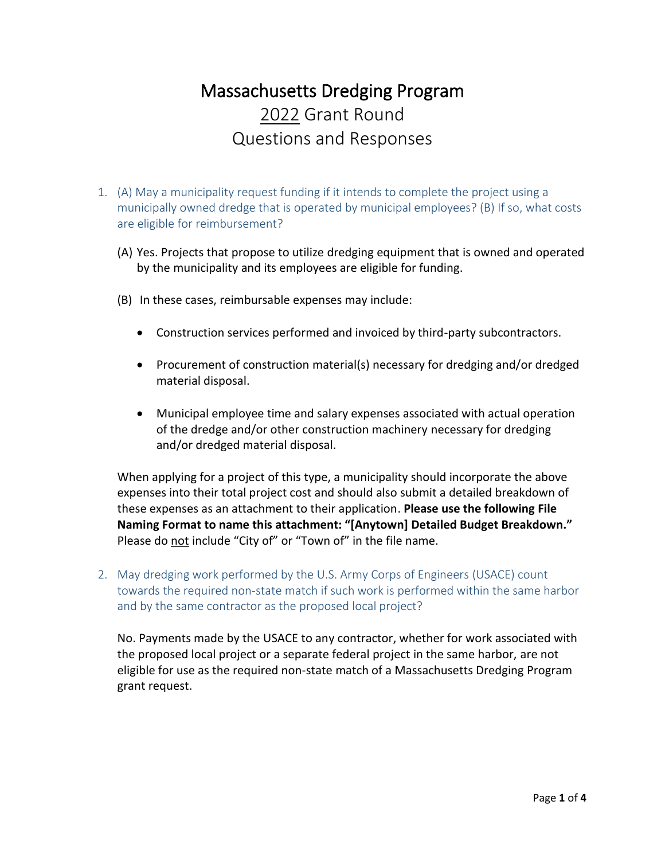# Massachusetts Dredging Program 2022 Grant Round Questions and Responses

- 1. (A) May a municipality request funding if it intends to complete the project using a municipally owned dredge that is operated by municipal employees? (B) If so, what costs are eligible for reimbursement?
	- (A) Yes. Projects that propose to utilize dredging equipment that is owned and operated by the municipality and its employees are eligible for funding.
	- (B) In these cases, reimbursable expenses may include:
		- Construction services performed and invoiced by third-party subcontractors.
		- Procurement of construction material(s) necessary for dredging and/or dredged material disposal.
		- Municipal employee time and salary expenses associated with actual operation of the dredge and/or other construction machinery necessary for dredging and/or dredged material disposal.

When applying for a project of this type, a municipality should incorporate the above expenses into their total project cost and should also submit a detailed breakdown of these expenses as an attachment to their application. **Please use the following File Naming Format to name this attachment: "[Anytown] Detailed Budget Breakdown."** Please do not include "City of" or "Town of" in the file name.

2. May dredging work performed by the U.S. Army Corps of Engineers (USACE) count towards the required non-state match if such work is performed within the same harbor and by the same contractor as the proposed local project?

No. Payments made by the USACE to any contractor, whether for work associated with the proposed local project or a separate federal project in the same harbor, are not eligible for use as the required non-state match of a Massachusetts Dredging Program grant request.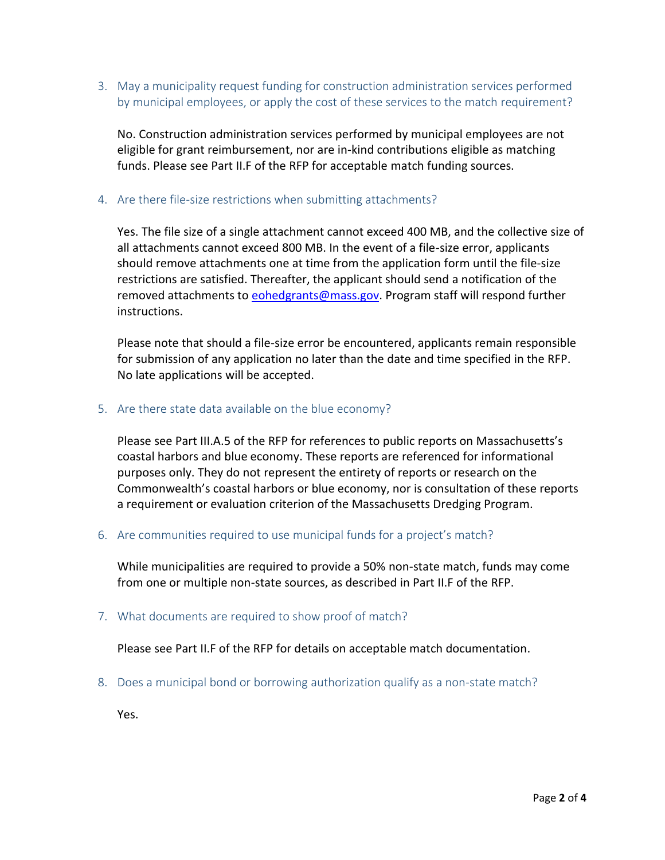3. May a municipality request funding for construction administration services performed by municipal employees, or apply the cost of these services to the match requirement?

No. Construction administration services performed by municipal employees are not eligible for grant reimbursement, nor are in-kind contributions eligible as matching funds. Please see Part II.F of the RFP for acceptable match funding sources.

### 4. Are there file-size restrictions when submitting attachments?

Yes. The file size of a single attachment cannot exceed 400 MB, and the collective size of all attachments cannot exceed 800 MB. In the event of a file-size error, applicants should remove attachments one at time from the application form until the file-size restrictions are satisfied. Thereafter, the applicant should send a notification of the removed attachments t[o eohedgrants@mass.gov.](mailto:eohedgrants@mass.gov) Program staff will respond further instructions.

Please note that should a file-size error be encountered, applicants remain responsible for submission of any application no later than the date and time specified in the RFP. No late applications will be accepted.

### 5. Are there state data available on the blue economy?

Please see Part III.A.5 of the RFP for references to public reports on Massachusetts's coastal harbors and blue economy. These reports are referenced for informational purposes only. They do not represent the entirety of reports or research on the Commonwealth's coastal harbors or blue economy, nor is consultation of these reports a requirement or evaluation criterion of the Massachusetts Dredging Program.

6. Are communities required to use municipal funds for a project's match?

While municipalities are required to provide a 50% non-state match, funds may come from one or multiple non-state sources, as described in Part II.F of the RFP.

7. What documents are required to show proof of match?

Please see Part II.F of the RFP for details on acceptable match documentation.

8. Does a municipal bond or borrowing authorization qualify as a non-state match?

Yes.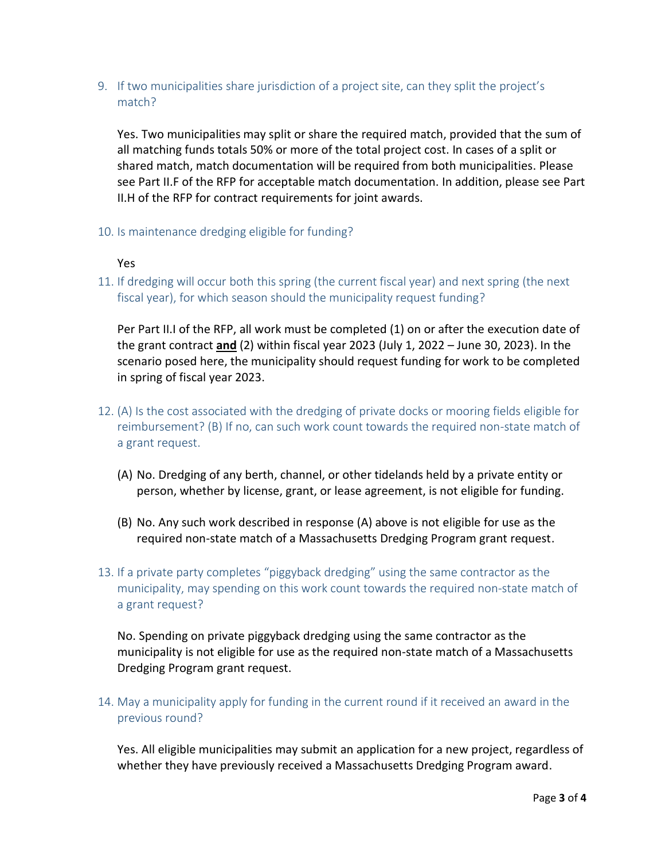9. If two municipalities share jurisdiction of a project site, can they split the project's match?

Yes. Two municipalities may split or share the required match, provided that the sum of all matching funds totals 50% or more of the total project cost. In cases of a split or shared match, match documentation will be required from both municipalities. Please see Part II.F of the RFP for acceptable match documentation. In addition, please see Part II.H of the RFP for contract requirements for joint awards.

10. Is maintenance dredging eligible for funding?

### Yes

11. If dredging will occur both this spring (the current fiscal year) and next spring (the next fiscal year), for which season should the municipality request funding?

Per Part II.I of the RFP, all work must be completed (1) on or after the execution date of the grant contract **and** (2) within fiscal year 2023 (July 1, 2022 – June 30, 2023). In the scenario posed here, the municipality should request funding for work to be completed in spring of fiscal year 2023.

- 12. (A) Is the cost associated with the dredging of private docks or mooring fields eligible for reimbursement? (B) If no, can such work count towards the required non-state match of a grant request.
	- (A) No. Dredging of any berth, channel, or other tidelands held by a private entity or person, whether by license, grant, or lease agreement, is not eligible for funding.
	- (B) No. Any such work described in response (A) above is not eligible for use as the required non-state match of a Massachusetts Dredging Program grant request.
- 13. If a private party completes "piggyback dredging" using the same contractor as the municipality, may spending on this work count towards the required non-state match of a grant request?

No. Spending on private piggyback dredging using the same contractor as the municipality is not eligible for use as the required non-state match of a Massachusetts Dredging Program grant request.

14. May a municipality apply for funding in the current round if it received an award in the previous round?

Yes. All eligible municipalities may submit an application for a new project, regardless of whether they have previously received a Massachusetts Dredging Program award.